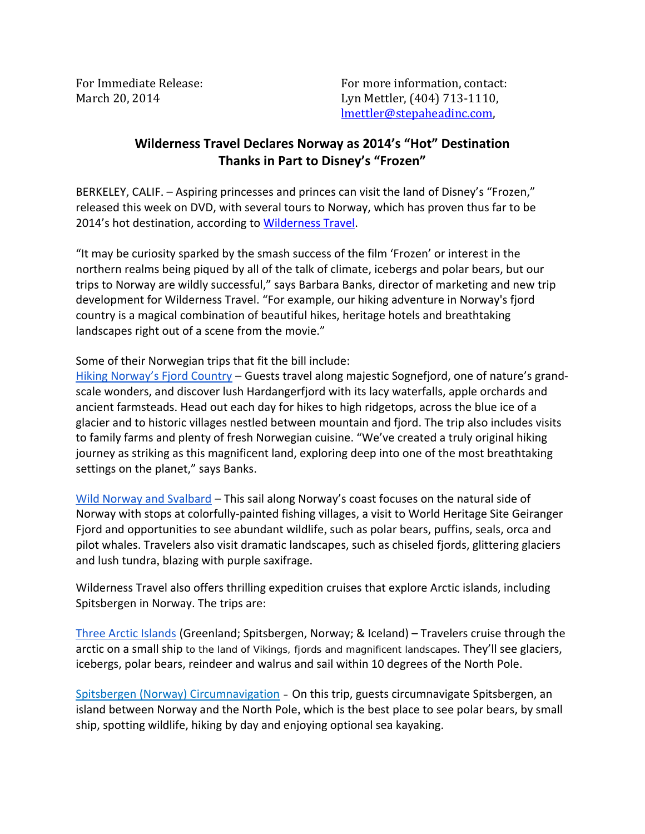For Immediate Release: The Contact: For more information, contact: March 20, 2014 **Lyn Mettler**, (404) 713-1110, lmettler@stepaheadinc.com,

## **Wilderness Travel Declares Norway as 2014's "Hot" Destination Thanks in Part to Disney's "Frozen"**

BERKELEY, CALIF. – Aspiring princesses and princes can visit the land of Disney's "Frozen," released this week on DVD, with several tours to Norway, which has proven thus far to be 2014's hot destination, according to [Wilderness Travel](http://www.wildernesstravel.com).

"It may be curiosity sparked by the smash success of the film 'Frozen' or interest in the northern realms being piqued by all of the talk of climate, icebergs and polar bears, but our trips to Norway are wildly successful," says Barbara Banks, director of marketing and new trip development for Wilderness Travel. "For example, our hiking adventure in Norway's fjord country is a magical combination of beautiful hikes, heritage hotels and breathtaking landscapes right out of a scene from the movie."

Some of their Norwegian trips that fit the bill include:

[Hiking Norway's Fjord Country](http://www.wildernesstravel.com/trip/norway/bergen-ulvik-hardanger-fjord-voss-hiking) - Guests travel along majestic Sognefjord, one of nature's grandscale wonders, and discover lush Hardangerfjord with its lacy waterfalls, apple orchards and ancient farmsteads. Head out each day for hikes to high ridgetops, across the blue ice of a glacier and to historic villages nestled between mountain and fjord. The trip also includes visits to family farms and plenty of fresh Norwegian cuisine. "We've created a truly original hiking journey as striking as this magnificent land, exploring deep into one of the most breathtaking settings on the planet," says Banks.

[Wild Norway and Svalbard](http://www.wildernesstravel.com/trip/norway/cruise-norway-tromso-svalbard-spitsbergen-polar-bears-walrus) – This sail along Norway's coast focuses on the natural side of Norway with stops at colorfully-painted fishing villages, a visit to World Heritage Site Geiranger Fjord and opportunities to see abundant wildlife, such as polar bears, puffins, seals, orca and pilot whales. Travelers also visit dramatic landscapes, such as chiseled fjords, glittering glaciers and lush tundra, blazing with purple saxifrage.

Wilderness Travel also offers thrilling expedition cruises that explore Arctic islands, including Spitsbergen in Norway. The trips are:

[Three Arctic Islands](http://www.wildernesstravel.com/trip/greenland/cruise-spitsbergen-iceland-norway-sea-spirit) (Greenland; Spitsbergen, Norway; & Iceland) – Travelers cruise through the arctic on a small ship to the land of Vikings, fjords and magnificent landscapes. They'll see glaciers, icebergs, polar bears, reindeer and walrus and sail within 10 degrees of the North Pole.

[Spitsbergen \(Norway\) Circumnavigation](http://www.wildernesstravel.com/trip/norway/svalbard-spitsbergen-sea-spirit-cruise) – On this trip, guests circumnavigate Spitsbergen, an island between Norway and the North Pole, which is the best place to see polar bears, by small ship, spotting wildlife, hiking by day and enjoying optional sea kayaking.